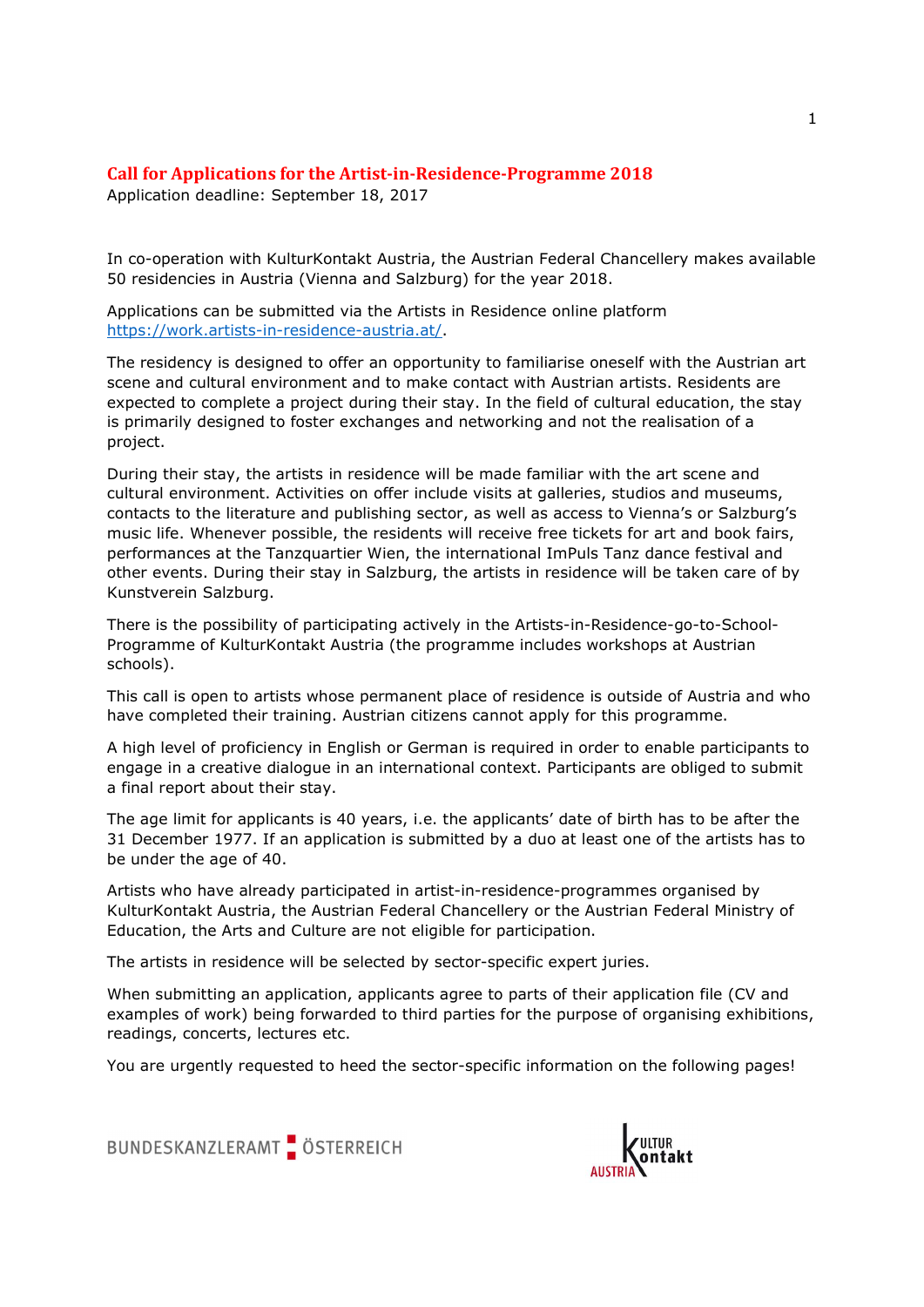# Call for Applications for the Artist-in-Residence-Programme 2018

Application deadline: September 18, 2017

In co-operation with KulturKontakt Austria, the Austrian Federal Chancellery makes available 50 residencies in Austria (Vienna and Salzburg) for the year 2018.

Applications can be submitted via the Artists in Residence online platform

https://work.artists-in-residence-austria.at/.<br>The residency is designed to offer an opportunity to familiarise oneself with the Austrian art scene and cultural environment and to make contact with Austrian artists. Residents are expected to complete a project during their stay. In the field of cultural education, the stay is primarily designed to foster exchanges and networking and not the realisation of a project.

During their stay, the artists in residence will be made familiar with the art scene and cultural environment. Activities on offer include visits at galleries, studios and museums, contacts to the literature and publishing sector, as well as access to Vienna's or Salzburg's music life. Whenever possible, the residents will receive free tickets for art and book fairs, performances at the Tanzquartier Wien, the international ImPuls Tanz dance festival and other events. During their stay in Salzburg, the artists in residence will be taken care of by Kunstverein Salzburg.

There is the possibility of participating actively in the Artists-in-Residence-go-to-School-Programme of KulturKontakt Austria (the programme includes workshops at Austrian schools).

This call is open to artists whose permanent place of residence is outside of Austria and who have completed their training. Austrian citizens cannot apply for this programme.

A high level of proficiency in English or German is required in order to enable participants to engage in a creative dialogue in an international context. Participants are obliged to submit a final report about their stay.

The age limit for applicants is 40 years, i.e. the applicants' date of birth has to be after the 31 December 1977. If an application is submitted by a duo at least one of the artists has to be under the age of 40.

Artists who have already participated in artist-in-residence-programmes organised by KulturKontakt Austria, the Austrian Federal Chancellery or the Austrian Federal Ministry of Education, the Arts and Culture are not eligible for participation.

The artists in residence will be selected by sector-specific expert juries.

When submitting an application, applicants agree to parts of their application file (CV and examples of work) being forwarded to third parties for the purpose of organising exhibitions, readings, concerts, lectures etc.

You are urgently requested to heed the sector-specific information on the following pages!



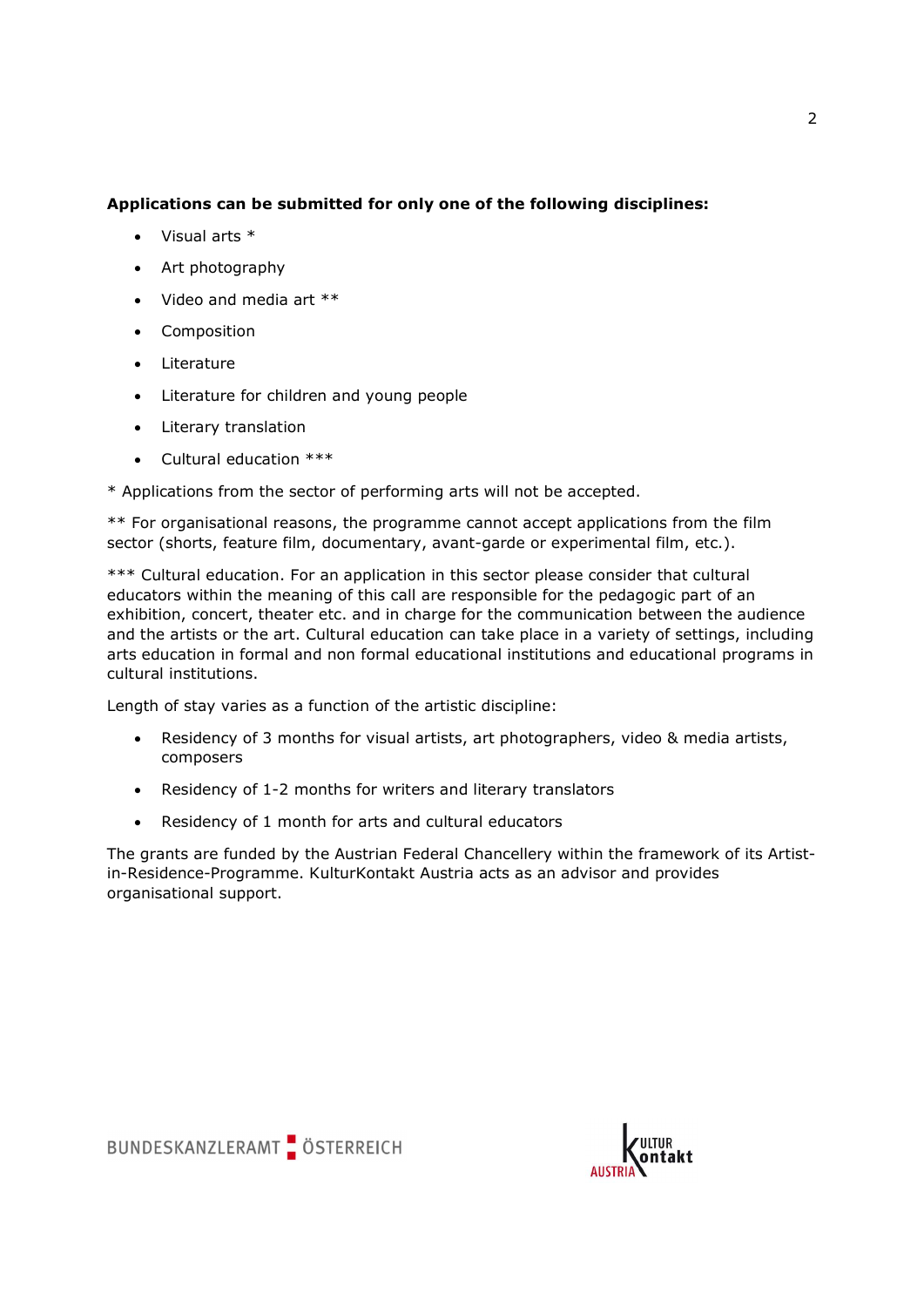## Applications can be submitted for only one of the following disciplines:

- Visual arts \*
- Art photography
- Video and media art \*\*
- **•** Composition
- Literature
- Literature for children and young people
- Literary translation
- Cultural education \*\*\*

\* Applications from the sector of performing arts will not be accepted.

\*\* For organisational reasons, the programme cannot accept applications from the film sector (shorts, feature film, documentary, avant-garde or experimental film, etc.).

\*\*\* Cultural education. For an application in this sector please consider that cultural educators within the meaning of this call are responsible for the pedagogic part of an exhibition, concert, theater etc. and in charge for the communication between the audience and the artists or the art. Cultural education can take place in a variety of settings, including arts education in formal and non formal educational institutions and educational programs in cultural institutions.

Length of stay varies as a function of the artistic discipline:

- Residency of 3 months for visual artists, art photographers, video & media artists, composers
- Residency of 1-2 months for writers and literary translators
- Residency of 1 month for arts and cultural educators

The grants are funded by the Austrian Federal Chancellery within the framework of its Artistin-Residence-Programme. KulturKontakt Austria acts as an advisor and provides organisational support.



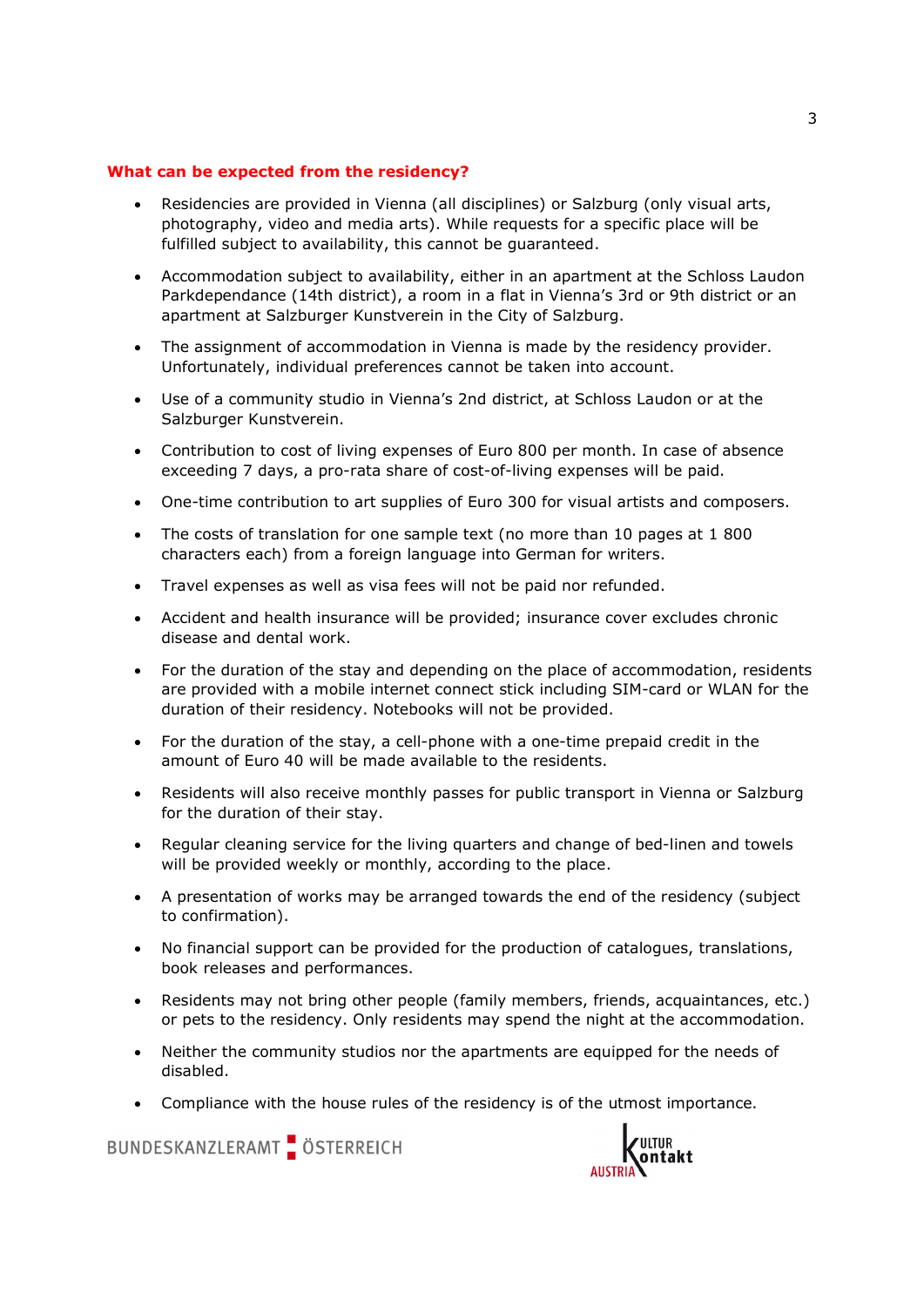### What can be expected from the residency?

- Residencies are provided in Vienna (all disciplines) or Salzburg (only visual arts, photography, video and media arts). While requests for a specific place will be fulfilled subject to availability, this cannot be guaranteed.
- Accommodation subject to availability, either in an apartment at the Schloss Laudon Parkdependance (14th district), a room in a flat in Vienna's 3rd or 9th district or an apartment at Salzburger Kunstverein in the City of Salzburg.
- The assignment of accommodation in Vienna is made by the residency provider. Unfortunately, individual preferences cannot be taken into account.
- Use of a community studio in Vienna's 2nd district, at Schloss Laudon or at the Salzburger Kunstverein.
- Contribution to cost of living expenses of Euro 800 per month. In case of absence exceeding 7 days, a pro-rata share of cost-of-living expenses will be paid.
- One-time contribution to art supplies of Euro 300 for visual artists and composers.
- The costs of translation for one sample text (no more than 10 pages at 1 800 characters each) from a foreign language into German for writers.
- Travel expenses as well as visa fees will not be paid nor refunded.
- Accident and health insurance will be provided; insurance cover excludes chronic disease and dental work.
- For the duration of the stay and depending on the place of accommodation, residents are provided with a mobile internet connect stick including SIM-card or WLAN for the duration of their residency. Notebooks will not be provided.
- For the duration of the stay, a cell-phone with a one-time prepaid credit in the amount of Euro 40 will be made available to the residents.
- Residents will also receive monthly passes for public transport in Vienna or Salzburg for the duration of their stay.
- Regular cleaning service for the living quarters and change of bed-linen and towels will be provided weekly or monthly, according to the place.
- A presentation of works may be arranged towards the end of the residency (subject to confirmation).
- No financial support can be provided for the production of catalogues, translations, book releases and performances.
- Residents may not bring other people (family members, friends, acquaintances, etc.) or pets to the residency. Only residents may spend the night at the accommodation.
- Neither the community studios nor the apartments are equipped for the needs of disabled.
- Compliance with the house rules of the residency is of the utmost importance.

BUNDESKANZLERAMT ÖSTERREICH

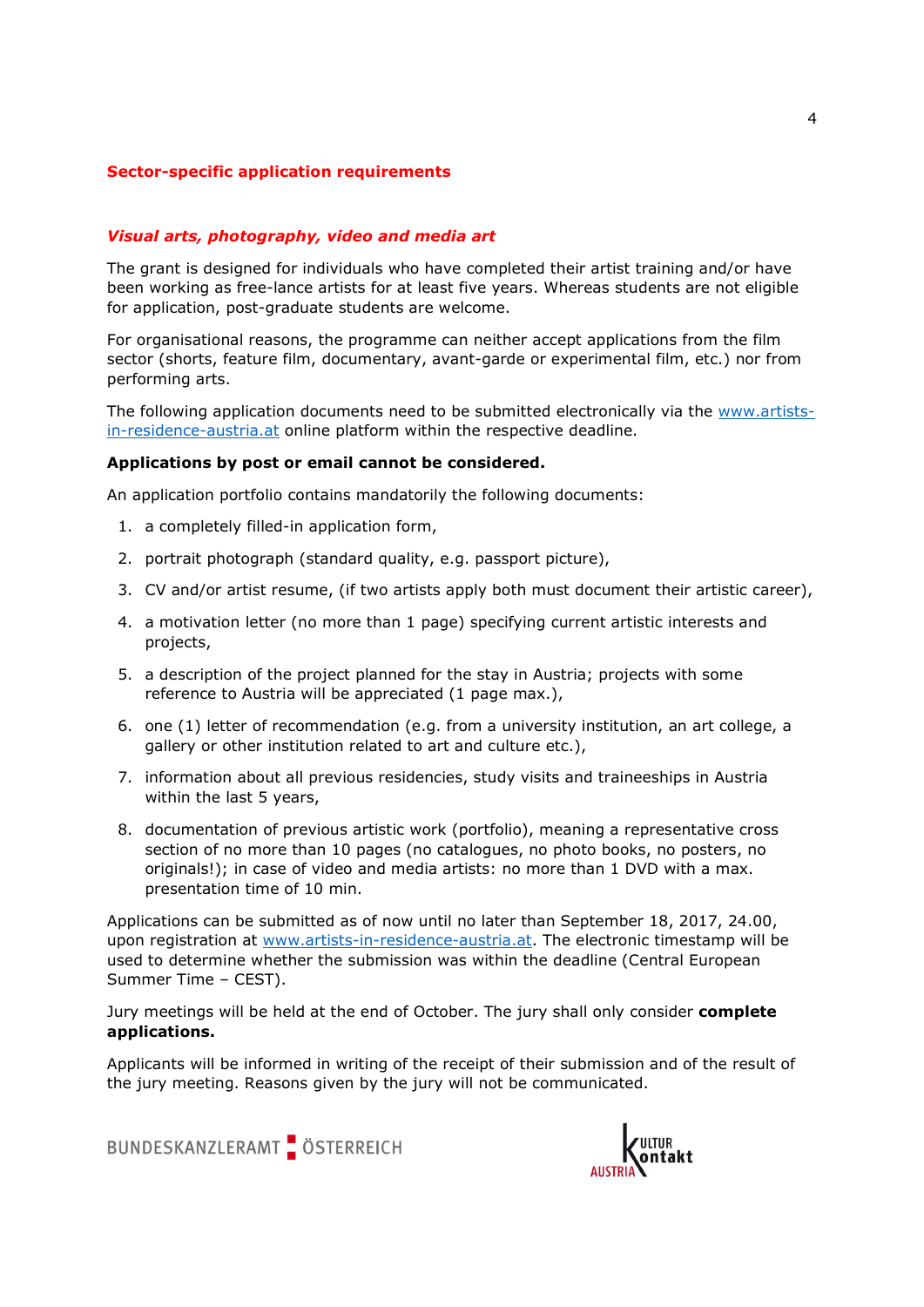## Sector-specific application requirements

### Visual arts, photography, video and media art

The grant is designed for individuals who have completed their artist training and/or have been working as free-lance artists for at least five years. Whereas students are not eligible for application, post-graduate students are welcome.

For organisational reasons, the programme can neither accept applications from the film sector (shorts, feature film, documentary, avant-garde or experimental film, etc.) nor from performing arts.

The following application documents need to be submitted electronically via the www.artistsin-residence-austria.at online platform within the respective deadline.

#### Applications by post or email cannot be considered.

An application portfolio contains mandatorily the following documents:

- 1. a completely filled-in application form,
- 2. portrait photograph (standard quality, e.g. passport picture),
- 3. CV and/or artist resume, (if two artists apply both must document their artistic career),
- 4. a motivation letter (no more than 1 page) specifying current artistic interests and projects,
- 5. a description of the project planned for the stay in Austria; projects with some reference to Austria will be appreciated (1 page max.),
- 6. one (1) letter of recommendation (e.g. from a university institution, an art college, a gallery or other institution related to art and culture etc.),
- 7. information about all previous residencies, study visits and traineeships in Austria within the last 5 years,
- 8. documentation of previous artistic work (portfolio), meaning a representative cross section of no more than 10 pages (no catalogues, no photo books, no posters, no originals!); in case of video and media artists: no more than 1 DVD with a max. presentation time of 10 min.

Applications can be submitted as of now until no later than September 18, 2017, 24.00, upon registration at www.artists-in-residence-austria.at. The electronic timestamp will be used to determine whether the submission was within the deadline (Central European Summer Time – CEST).

Jury meetings will be held at the end of October. The jury shall only consider complete applications.

Applicants will be informed in writing of the receipt of their submission and of the result of the jury meeting. Reasons given by the jury will not be communicated.

BUNDESKANZLERAMT ÖSTERREICH

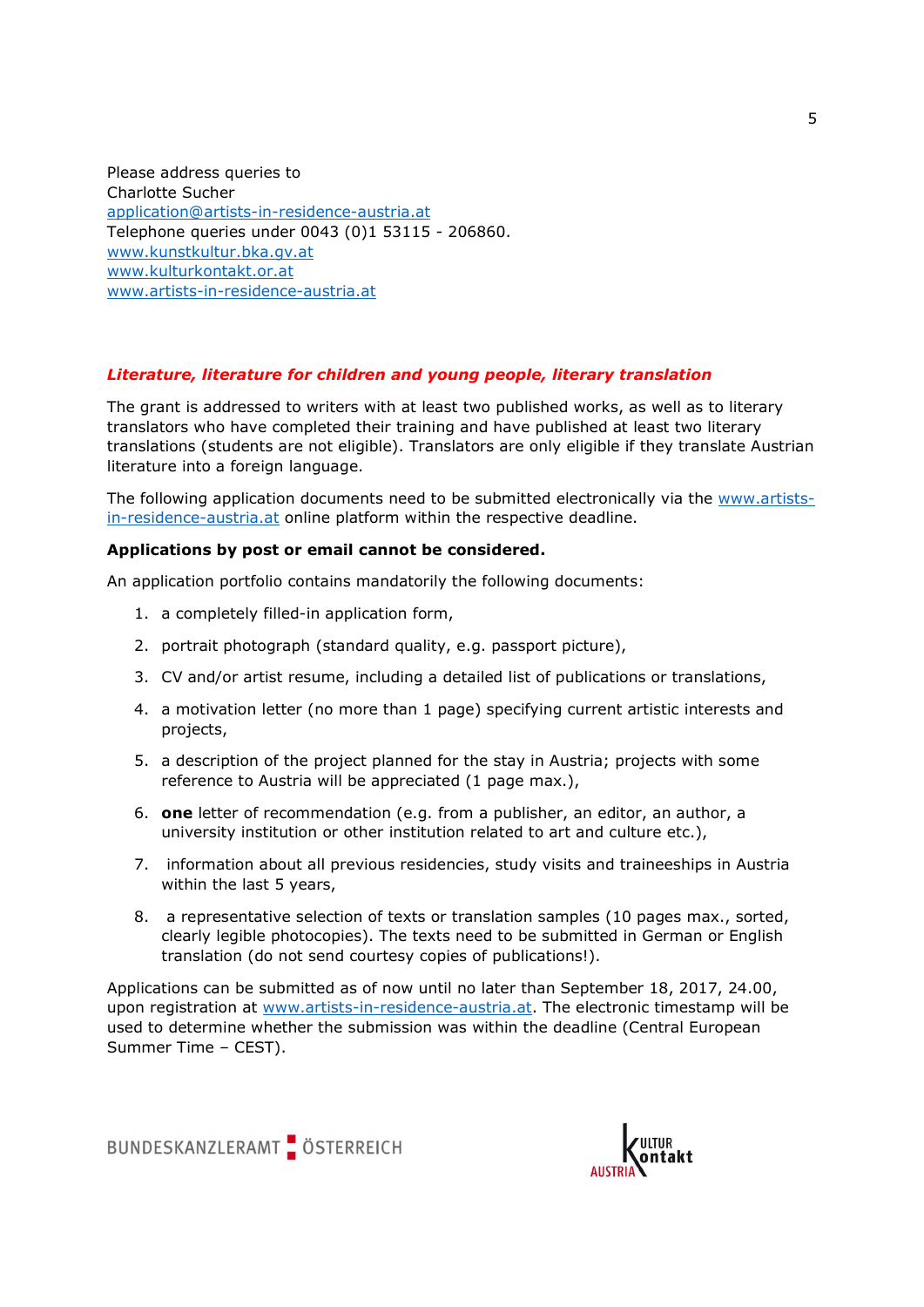Please address queries to Charlotte Sucher application@artists-in-residence-austria.at Telephone queries under 0043 (0)1 53115 - 206860. www.kunstkultur.bka.gv.at www.kulturkontakt.or.at www.artists-in-residence-austria.at

## Literature, literature for children and young people, literary translation

The grant is addressed to writers with at least two published works, as well as to literary translators who have completed their training and have published at least two literary translations (students are not eligible). Translators are only eligible if they translate Austrian literature into a foreign language.

The following application documents need to be submitted electronically via the www.artistsin-residence-austria.at online platform within the respective deadline.

#### Applications by post or email cannot be considered.

An application portfolio contains mandatorily the following documents:

- 1. a completely filled-in application form,
- 2. portrait photograph (standard quality, e.g. passport picture),
- 3. CV and/or artist resume, including a detailed list of publications or translations,
- 4. a motivation letter (no more than 1 page) specifying current artistic interests and projects,
- 5. a description of the project planned for the stay in Austria; projects with some reference to Austria will be appreciated (1 page max.),
- 6. one letter of recommendation (e.g. from a publisher, an editor, an author, a university institution or other institution related to art and culture etc.),
- 7. information about all previous residencies, study visits and traineeships in Austria within the last 5 years,
- 8. a representative selection of texts or translation samples (10 pages max., sorted, clearly legible photocopies). The texts need to be submitted in German or English translation (do not send courtesy copies of publications!).

Applications can be submitted as of now until no later than September 18, 2017, 24.00, upon registration at www.artists-in-residence-austria.at. The electronic timestamp will be used to determine whether the submission was within the deadline (Central European Summer Time – CEST).



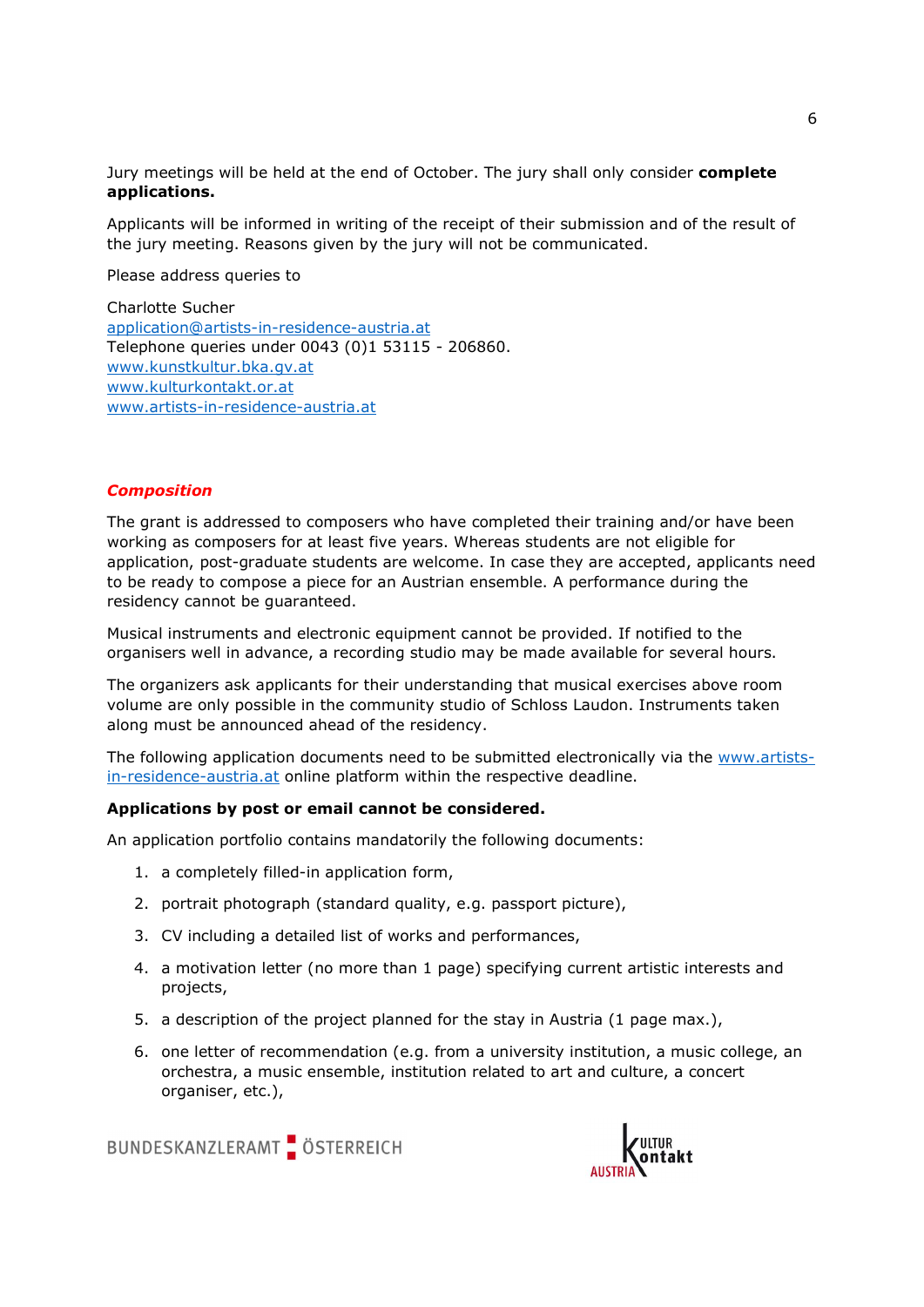Jury meetings will be held at the end of October. The jury shall only consider complete applications.

Applicants will be informed in writing of the receipt of their submission and of the result of the jury meeting. Reasons given by the jury will not be communicated.

Please address queries to

Charlotte Sucher application@artists-in-residence-austria.at Telephone queries under 0043 (0)1 53115 - 206860. www.kunstkultur.bka.gv.at www.kulturkontakt.or.at www.artists-in-residence-austria.at

#### **Composition**

The grant is addressed to composers who have completed their training and/or have been working as composers for at least five years. Whereas students are not eligible for application, post-graduate students are welcome. In case they are accepted, applicants need to be ready to compose a piece for an Austrian ensemble. A performance during the residency cannot be guaranteed.

Musical instruments and electronic equipment cannot be provided. If notified to the organisers well in advance, a recording studio may be made available for several hours.

The organizers ask applicants for their understanding that musical exercises above room volume are only possible in the community studio of Schloss Laudon. Instruments taken along must be announced ahead of the residency.

The following application documents need to be submitted electronically via the www.artistsin-residence-austria.at online platform within the respective deadline.

#### Applications by post or email cannot be considered.

An application portfolio contains mandatorily the following documents:

- 1. a completely filled-in application form,
- 2. portrait photograph (standard quality, e.g. passport picture),
- 3. CV including a detailed list of works and performances,
- 4. a motivation letter (no more than 1 page) specifying current artistic interests and projects,
- 5. a description of the project planned for the stay in Austria (1 page max.),
- 6. one letter of recommendation (e.g. from a university institution, a music college, an orchestra, a music ensemble, institution related to art and culture, a concert organiser, etc.),



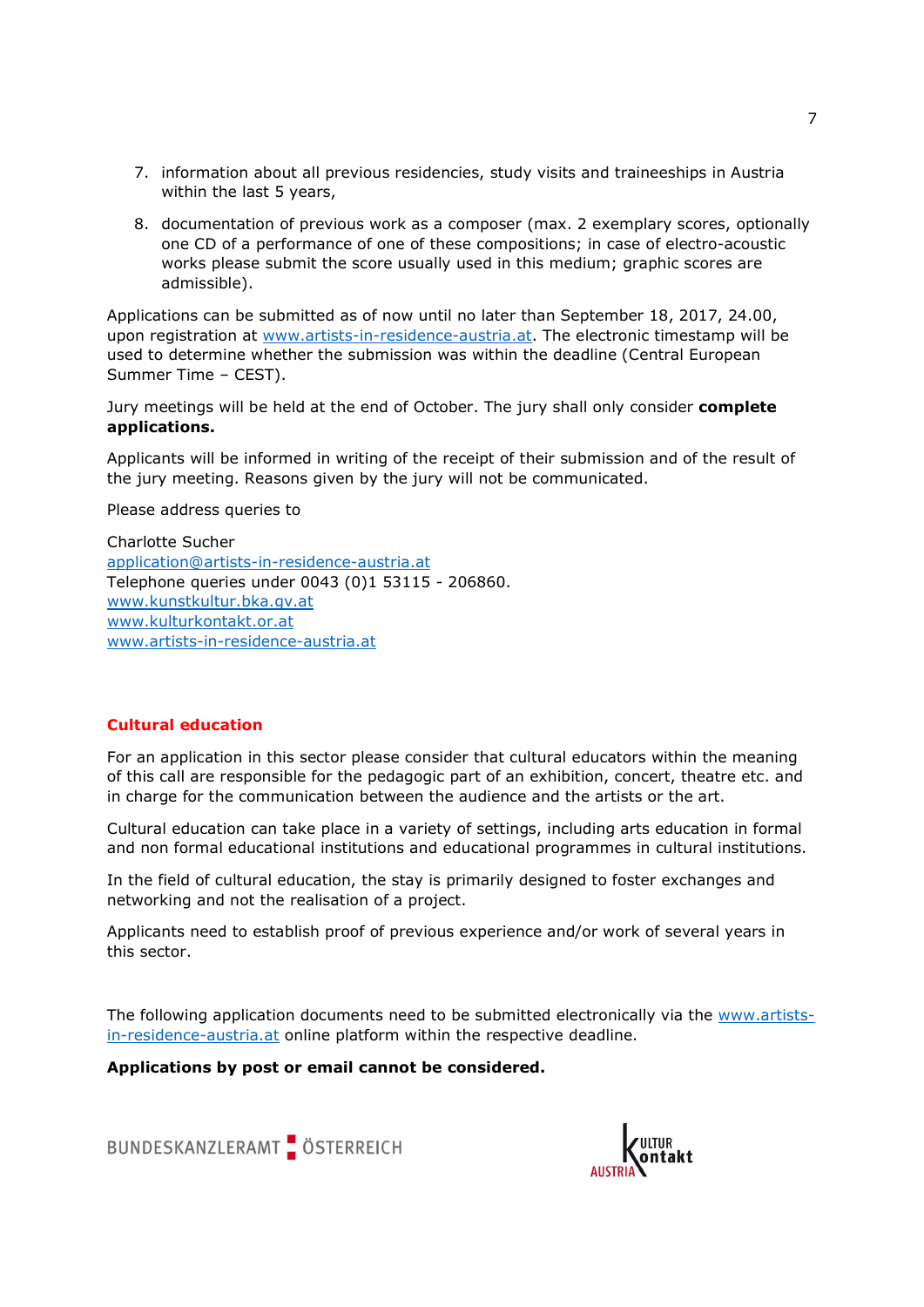- 7. information about all previous residencies, study visits and traineeships in Austria within the last 5 years,
- 8. documentation of previous work as a composer (max. 2 exemplary scores, optionally one CD of a performance of one of these compositions; in case of electro-acoustic works please submit the score usually used in this medium; graphic scores are admissible).

Applications can be submitted as of now until no later than September 18, 2017, 24.00, upon registration at www.artists-in-residence-austria.at. The electronic timestamp will be used to determine whether the submission was within the deadline (Central European Summer Time – CEST).

Jury meetings will be held at the end of October. The jury shall only consider complete applications.

Applicants will be informed in writing of the receipt of their submission and of the result of the jury meeting. Reasons given by the jury will not be communicated.

Please address queries to

Charlotte Sucher application@artists-in-residence-austria.at Telephone queries under 0043 (0)1 53115 - 206860. www.kunstkultur.bka.gv.at www.kulturkontakt.or.at www.artists-in-residence-austria.at

## Cultural education

For an application in this sector please consider that cultural educators within the meaning of this call are responsible for the pedagogic part of an exhibition, concert, theatre etc. and in charge for the communication between the audience and the artists or the art.

Cultural education can take place in a variety of settings, including arts education in formal and non formal educational institutions and educational programmes in cultural institutions.

In the field of cultural education, the stay is primarily designed to foster exchanges and networking and not the realisation of a project.

Applicants need to establish proof of previous experience and/or work of several years in this sector.

The following application documents need to be submitted electronically via the www.artistsin-residence-austria.at online platform within the respective deadline.

Applications by post or email cannot be considered.